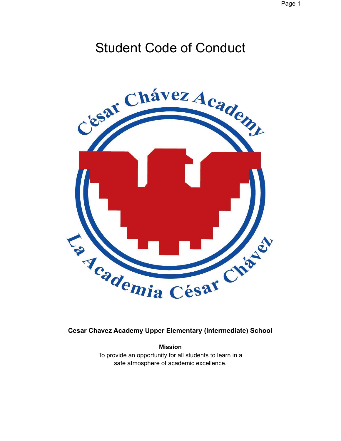# Student Code of Conduct



# **Cesar Chavez Academy Upper Elementary (Intermediate) School**

**Mission** To provide an opportunity for all students to learn in a safe atmosphere of academic excellence.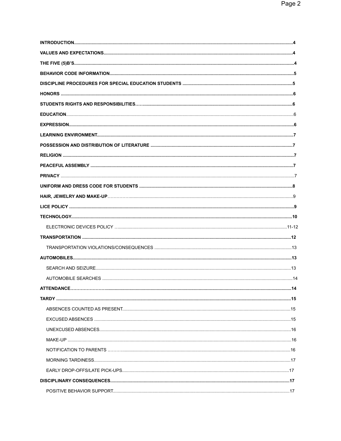| <b>ATTENDANCE</b> | 14 |
|-------------------|----|
|                   |    |
|                   |    |
|                   |    |
|                   |    |
|                   |    |
|                   |    |
|                   |    |
|                   |    |
|                   |    |
|                   |    |
|                   |    |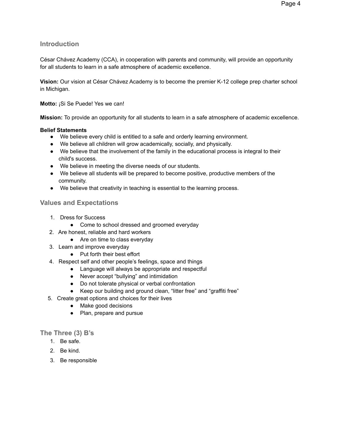# **Introduction**

César Chávez Academy (CCA), in cooperation with parents and community, will provide an opportunity for all students to learn in a safe atmosphere of academic excellence.

**Vision:** Our vision at César Chávez Academy is to become the premier K-12 college prep charter school in Michigan.

## **Motto:** ¡Si Se Puede! Yes we can!

**Mission:** To provide an opportunity for all students to learn in a safe atmosphere of academic excellence.

## **Belief Statements**

- We believe every child is entitled to a safe and orderly learning environment.
- We believe all children will grow academically, socially, and physically.
- We believe that the involvement of the family in the educational process is integral to their child's success.
- We believe in meeting the diverse needs of our students.
- We believe all students will be prepared to become positive, productive members of the community.
- We believe that creativity in teaching is essential to the learning process.

# **Values and Expectations**

- 1. Dress for Success
	- Come to school dressed and groomed everyday
- 2. Are honest, reliable and hard workers
	- Are on time to class everyday
- 3. Learn and improve everyday
	- Put forth their best effort
- 4. Respect self and other people's feelings, space and things
	- Language will always be appropriate and respectful
	- Never accept "bullying" and intimidation
	- Do not tolerate physical or verbal confrontation
	- Keep our building and ground clean, "litter free" and "graffiti free"
- 5. Create great options and choices for their lives
	- Make good decisions
	- Plan, prepare and pursue

## **The Three (3) B's**

- 1. Be safe.
- 2. Be kind.
- 3. Be responsible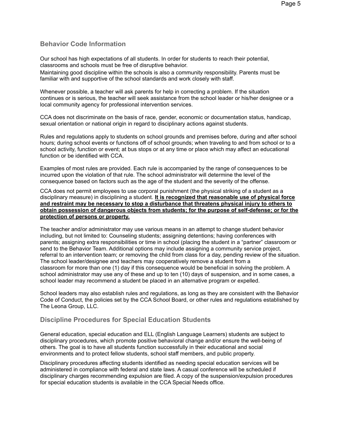# **Behavior Code Information**

Our school has high expectations of all students. In order for students to reach their potential, classrooms and schools must be free of disruptive behavior.

Maintaining good discipline within the schools is also a community responsibility. Parents must be familiar with and supportive of the school standards and work closely with staff.

Whenever possible, a teacher will ask parents for help in correcting a problem. If the situation continues or is serious, the teacher will seek assistance from the school leader or his/her designee or a local community agency for professional intervention services.

CCA does not discriminate on the basis of race, gender, economic or documentation status, handicap, sexual orientation or national origin in regard to disciplinary actions against students.

Rules and regulations apply to students on school grounds and premises before, during and after school hours; during school events or functions off of school grounds; when traveling to and from school or to a school activity, function or event; at bus stops or at any time or place which may affect an educational function or be identified with CCA.

Examples of most rules are provided. Each rule is accompanied by the range of consequences to be incurred upon the violation of that rule. The school administrator will determine the level of the consequence based on factors such as the age of the student and the severity of the offense.

CCA does not permit employees to use corporal punishment (the physical striking of a student as a disciplinary measure) in disciplining a student. **It is recognized that reasonable use of physical force and restraint may be necessary to stop a disturbance that threatens physical injury to others to obtain possession of dangerous objects from students; for the purpose of self-defense; or for the protection of persons or property.**

The teacher and/or administrator may use various means in an attempt to change student behavior including, but not limited to: Counseling students; assigning detentions; having conferences with parents; assigning extra responsibilities or time in school (placing the student in a "partner" classroom or send to the Behavior Team. Additional options may include assigning a community service project, referral to an intervention team; or removing the child from class for a day, pending review of the situation. The school leader/designee and teachers may cooperatively remove a student from a classroom for more than one (1) day if this consequence would be beneficial in solving the problem. A school administrator may use any of these and up to ten (10) days of suspension, and in some cases, a school leader may recommend a student be placed in an alternative program or expelled.

School leaders may also establish rules and regulations, as long as they are consistent with the Behavior Code of Conduct, the policies set by the CCA School Board, or other rules and regulations established by The Leona Group, LLC.

# **Discipline Procedures for Special Education Students**

General education, special education and ELL (English Language Learners) students are subject to disciplinary procedures, which promote positive behavioral change and/or ensure the well-being of others. The goal is to have all students function successfully in their educational and social environments and to protect fellow students, school staff members, and public property.

Disciplinary procedures affecting students identified as needing special education services will be administered in compliance with federal and state laws. A casual conference will be scheduled if disciplinary charges recommending expulsion are filed. A copy of the suspension/expulsion procedures for special education students is available in the CCA Special Needs office.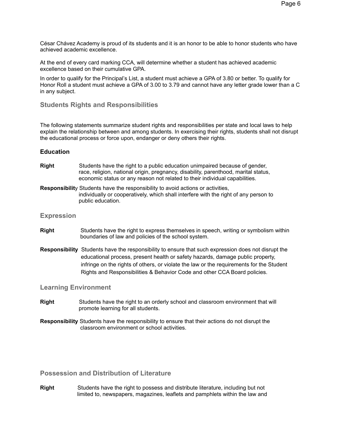César Chávez Academy is proud of its students and it is an honor to be able to honor students who have achieved academic excellence.

At the end of every card marking CCA, will determine whether a student has achieved academic excellence based on their cumulative GPA.

In order to qualify for the Principal's List, a student must achieve a GPA of 3.80 or better. To qualify for Honor Roll a student must achieve a GPA of 3.00 to 3.79 and cannot have any letter grade lower than a C in any subject.

## **Students Rights and Responsibilities**

The following statements summarize student rights and responsibilities per state and local laws to help explain the relationship between and among students. In exercising their rights, students shall not disrupt the educational process or force upon, endanger or deny others their rights.

#### **Education**

- **Right** Students have the right to a public education unimpaired because of gender, race, religion, national origin, pregnancy, disability, parenthood, marital status, economic status or any reason not related to their individual capabilities.
- **Responsibilit**y Students have the responsibility to avoid actions or activities, individually or cooperatively, which shall interfere with the right of any person to public education.

#### **Expression**

- **Right** Students have the right to express themselves in speech, writing or symbolism within boundaries of law and policies of the school system.
- **Responsibility** Students have the responsibility to ensure that such expression does not disrupt the educational process, present health or safety hazards, damage public property, infringe on the rights of others, or violate the law or the requirements for the Student Rights and Responsibilities & Behavior Code and other CCA Board policies.

**Learning Environment**

- **Right** Students have the right to an orderly school and classroom environment that will promote learning for all students.
- **Responsibility** Students have the responsibility to ensure that their actions do not disrupt the classroom environment or school activities.

**Possession and Distribution of Literature**

**Right** Students have the right to possess and distribute literature, including but not limited to, newspapers, magazines, leaflets and pamphlets within the law and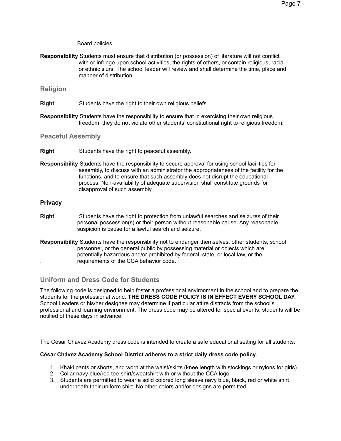Board policies.

**Responsibility** Students must ensure that distribution (or possession) of literature will not conflict with or infringe upon school activities, the rights of others, or contain religious, racial or ethnic slurs. The school leader will review and shall determine the time, place and manner of distribution.

## **Religion**

- **Right** Students have the right to their own religious beliefs.
- **Responsibility** Students have the responsibility to ensure that in exercising their own religious freedom, they do not violate other students' constitutional right to religious freedom.

**Peaceful Assembly**

- **Right** Students have the right to peaceful assembly.
- **Responsibility** Students have the responsibility to secure approval for using school facilities for assembly, to discuss with an administrator the appropriateness of the facility for the functions, and to ensure that such assembly does not disrupt the educational process. Non-availability of adequate supervision shall constitute grounds for disapproval of such assembly.

#### **Privacy**

- **Right** Students have the right to protection from unlawful searches and seizures of their personal possession(s) or their person without reasonable cause. Any reasonable suspicion is cause for a lawful search and seizure.
- **Responsibility** Students have the responsibility not to endanger themselves, other students, school personnel, or the general public by possessing material or objects which are potentially hazardous and/or prohibited by federal, state, or local law, or the . requirements of the CCA behavior code.

# **Uniform and Dress Code for Students**

The following code is designed to help foster a professional environment in the school and to prepare the students for the professional world. **THE DRESS CODE POLICY IS IN EFFECT EVERY SCHOOL DAY.** School Leaders or his/her designee may determine if particular attire distracts from the school's professional and learning environment. The dress code may be altered for special events; students will be notified of these days in advance.

The César Chávez Academy dress code is intended to create a safe educational setting for all students.

#### **César Chávez Academy School District adheres to a strict daily dress code policy.**

- 1. Khaki pants or shorts, and worn at the waist/skirts (knee length with stockings or nylons for girls).
- 2. Collar navy blue/red tee-shirt/sweatshirt with or without the CCA logo.
- 3. Students are permitted to wear a solid colored long sleeve navy blue, black, red or white shirt underneath their uniform shirt. No other colors and/or designs are permitted.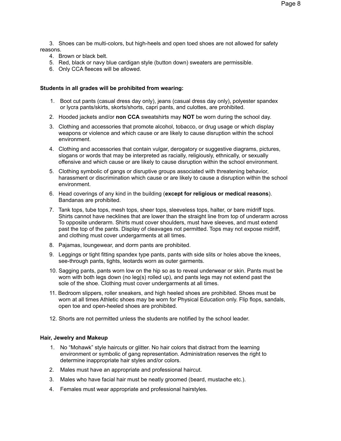3. Shoes can be multi-colors, but high-heels and open toed shoes are not allowed for safety reasons.

- 4. Brown or black belt.
- 5. Red, black or navy blue cardigan style (button down) sweaters are permissible.
- 6. Only CCA fleeces will be allowed.

#### **Students in all grades will be prohibited from wearing:**

- 1. Boot cut pants (casual dress day only), jeans (casual dress day only), polyester spandex or lycra pants/skirts, skorts/shorts, capri pants, and culottes, are prohibited.
- 2. Hooded jackets and/or **non CCA** sweatshirts may **NOT** be worn during the school day.
- 3. Clothing and accessories that promote alcohol, tobacco, or drug usage or which display weapons or violence and which cause or are likely to cause disruption within the school environment.
- 4. Clothing and accessories that contain vulgar, derogatory or suggestive diagrams, pictures, slogans or words that may be interpreted as racially, religiously, ethnically, or sexually offensive and which cause or are likely to cause disruption within the school environment.
- 5. Clothing symbolic of gangs or disruptive groups associated with threatening behavior, harassment or discrimination which cause or are likely to cause a disruption within the school environment.
- 6. Head coverings of any kind in the building (**except for religious or medical reasons**). Bandanas are prohibited.
- 7. Tank tops, tube tops, mesh tops, sheer tops, sleeveless tops, halter, or bare midriff tops. Shirts cannot have necklines that are lower than the straight line from top of underarm across To opposite underarm. Shirts must cover shoulders, must have sleeves, and must extend past the top of the pants. Display of cleavages not permitted. Tops may not expose midriff, and clothing must cover undergarments at all times.
- 8. Pajamas, loungewear, and dorm pants are prohibited.
- 9. Leggings or tight fitting spandex type pants, pants with side slits or holes above the knees, see-through pants, tights, leotards worn as outer garments.
- 10. Sagging pants, pants worn low on the hip so as to reveal underwear or skin. Pants must be worn with both legs down (no leg(s) rolled up), and pants legs may not extend past the sole of the shoe. Clothing must cover undergarments at all times.
- 11. Bedroom slippers, roller sneakers, and high heeled shoes are prohibited. Shoes must be worn at all times Athletic shoes may be worn for Physical Education only. Flip flops, sandals, open toe and open-heeled shoes are prohibited.
- 12. Shorts are not permitted unless the students are notified by the school leader.

#### **Hair, Jewelry and Makeup**

- 1. No "Mohawk" style haircuts or glitter. No hair colors that distract from the learning environment or symbolic of gang representation. Administration reserves the right to determine inappropriate hair styles and/or colors.
- 2. Males must have an appropriate and professional haircut.
- 3. Males who have facial hair must be neatly groomed (beard, mustache etc.).
- 4. Females must wear appropriate and professional hairstyles.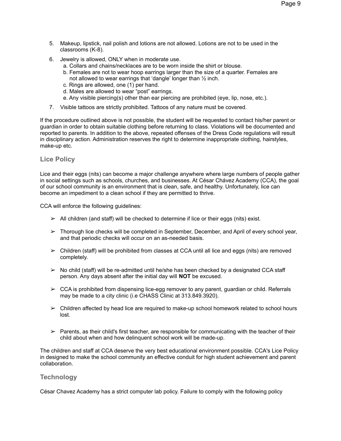- 5. Makeup, lipstick, nail polish and lotions are not allowed. Lotions are not to be used in the classrooms (K-8).
- 6. Jewelry is allowed, ONLY when in moderate use.
	- a. Collars and chains/necklaces are to be worn inside the shirt or blouse.
	- b. Females are not to wear hoop earrings larger than the size of a quarter. Females are not allowed to wear earrings that 'dangle' longer than ½ inch.
	- c. Rings are allowed, one (1) per hand.
	- d. Males are allowed to wear "post" earrings.
	- e. Any visible piercing(s) other than ear piercing are prohibited (eye, lip, nose, etc.).
- 7. Visible tattoos are strictly prohibited. Tattoos of any nature must be covered.

If the procedure outlined above is not possible, the student will be requested to contact his/her parent or guardian in order to obtain suitable clothing before returning to class. Violations will be documented and reported to parents. In addition to the above, repeated offenses of the Dress Code regulations will result in disciplinary action. Administration reserves the right to determine inappropriate clothing, hairstyles, make-up etc.

# **Lice Policy**

Lice and their eggs (nits) can become a major challenge anywhere where large numbers of people gather in social settings such as schools, churches, and businesses. At César Chávez Academy (CCA), the goal of our school community is an environment that is clean, safe, and healthy. Unfortunately, lice can become an impediment to a clean school if they are permitted to thrive.

CCA will enforce the following guidelines:

- $\triangleright$  All children (and staff) will be checked to determine if lice or their eggs (nits) exist.
- $\triangleright$  Thorough lice checks will be completed in September, December, and April of every school year, and that periodic checks will occur on an as-needed basis.
- ➢ Children (staff) will be prohibited from classes at CCA until all lice and eggs (nits) are removed completely.
- $\triangleright$  No child (staff) will be re-admitted until he/she has been checked by a designated CCA staff person. Any days absent after the initial day will **NOT** be excused.
- $\triangleright$  CCA is prohibited from dispensing lice-egg remover to any parent, quardian or child. Referrals may be made to a city clinic (i.e CHASS Clinic at 313.849.3920).
- $\triangleright$  Children affected by head lice are required to make-up school homework related to school hours lost.
- $\triangleright$  Parents, as their child's first teacher, are responsible for communicating with the teacher of their child about when and how delinquent school work will be made-up.

The children and staff at CCA deserve the very best educational environment possible. CCA's Lice Policy in designed to make the school community an effective conduit for high student achievement and parent collaboration.

## **Technology**

César Chavez Academy has a strict computer lab policy. Failure to comply with the following policy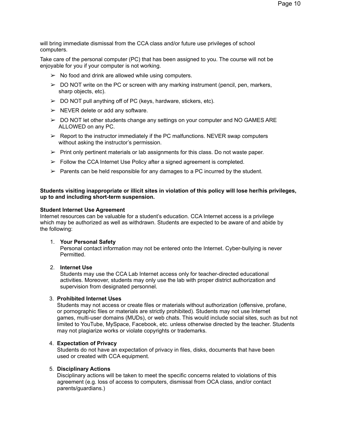will bring immediate dismissal from the CCA class and/or future use privileges of school computers.

Take care of the personal computer (PC) that has been assigned to you. The course will not be enjoyable for you if your computer is not working.

- $\triangleright$  No food and drink are allowed while using computers.
- $\triangleright$  DO NOT write on the PC or screen with any marking instrument (pencil, pen, markers, sharp objects, etc).
- $\geq$  DO NOT pull anything off of PC (keys, hardware, stickers, etc).
- $\triangleright$  NEVER delete or add any software.
- $\geq$  DO NOT let other students change any settings on your computer and NO GAMES ARE ALLOWED on any PC.
- $\triangleright$  Report to the instructor immediately if the PC malfunctions. NEVER swap computers without asking the instructor's permission.
- $\triangleright$  Print only pertinent materials or lab assignments for this class. Do not waste paper.
- $\triangleright$  Follow the CCA Internet Use Policy after a signed agreement is completed.
- $\triangleright$  Parents can be held responsible for any damages to a PC incurred by the student.

#### **Students visiting inappropriate or illicit sites in violation of this policy will lose her/his privileges, up to and including short-term suspension.**

#### **Student Internet Use Agreement**

Internet resources can be valuable for a student's education. CCA Internet access is a privilege which may be authorized as well as withdrawn. Students are expected to be aware of and abide by the following:

#### 1. **Your Personal Safety**

Personal contact information may not be entered onto the Internet. Cyber-bullying is never Permitted.

#### 2. **Internet Use**

Students may use the CCA Lab Internet access only for teacher-directed educational activities. Moreover, students may only use the lab with proper district authorization and supervision from designated personnel.

## 3. **Prohibited Internet Uses**

Students may not access or create files or materials without authorization (offensive, profane, or pornographic files or materials are strictly prohibited). Students may not use Internet games, multi-user domains (MUDs), or web chats. This would include social sites, such as but not limited to YouTube, MySpace, Facebook, etc. unless otherwise directed by the teacher. Students may not plagiarize works or violate copyrights or trademarks.

#### 4. **Expectation of Privacy**

Students do not have an expectation of privacy in files, disks, documents that have been used or created with CCA equipment.

#### 5. **Disciplinary Actions**

Disciplinary actions will be taken to meet the specific concerns related to violations of this agreement (e.g. loss of access to computers, dismissal from OCA class, and/or contact parents/guardians.)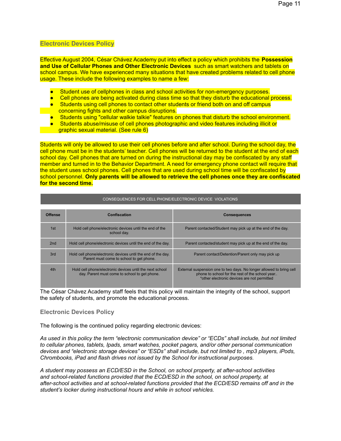## **Electronic Devices Policy**

Effective August 2004, César Chávez Academy put into effect a policy which prohibits the **Possession and Use of Cellular Phones and Other Electronic Devices** such as smart watchers and tablets on school campus. We have experienced many situations that have created problems related to cell phone usage. These include the following examples to name a few:

- Student use of cellphones in class and school activities for non-emergency purposes.
- Cell phones are being activated during class time so that they disturb the educational process.
- Students using cell phones to contact other students or friend both on and off campus concerning fights and other campus disruptions.
- Students using "cellular walkie talkie" features on phones that disturb the school environment.
- Students abuse/misuse of cell phones photographic and video features including illicit or graphic sexual material. (See rule 6)

Students will only be allowed to use their cell phones before and after school. During the school day, the cell phone must be in the students' teacher. Cell phones will be returned to the student at the end of each school day. Cell phones that are turned on during the instructional day may be confiscated by any staff member and turned in to the Behavior Department. A need for emergency phone contact will require that the student uses school phones. Cell phones that are used during school time will be confiscated by school personnel. **Only parents will be allowed to retrieve the cell phones once they are confiscated for the second time.**

CONSEQUENCES FOR CELL PHONE/ELECTRONIC DEVICE VIOLATIONS

| <b>CONOLQUENCED FOR OLLE FHONL/LLLCTRONIC DEVICE VIOLATIONS</b> |                                                                                                           |                                                                                                                                                                        |  |  |
|-----------------------------------------------------------------|-----------------------------------------------------------------------------------------------------------|------------------------------------------------------------------------------------------------------------------------------------------------------------------------|--|--|
|                                                                 |                                                                                                           |                                                                                                                                                                        |  |  |
| Offense                                                         | <b>Confiscation</b>                                                                                       | <b>Consequences</b>                                                                                                                                                    |  |  |
| 1st                                                             | Hold cell phone/electronic devices until the end of the<br>school day.                                    | Parent contacted/Student may pick up at the end of the day.                                                                                                            |  |  |
| 2nd                                                             | Hold cell phone/electronic devices until the end of the day.                                              | Parent contacted/student may pick up at the end of the day.                                                                                                            |  |  |
| 3rd                                                             | Hold cell phone/electronic devices until the end of the day.<br>Parent must come to school to get phone.  | Parent contact/Detention/Parent only may pick up                                                                                                                       |  |  |
| 4th                                                             | Hold cell phone/electronic devices until the next school<br>day. Parent must come to school to get phone. | External suspension one to two days. No longer allowed to bring cell<br>phone to school for the rest of the school year<br>*other electronic devices are not permitted |  |  |

The César Chávez Academy staff feels that this policy will maintain the integrity of the school, support the safety of students, and promote the educational process.

#### **Electronic Devices Policy**

The following is the continued policy regarding electronic devices:

As used in this policy the term "electronic communication device" or "ECDs" shall include, but not limited *to cellular phones, tablets, Ipads, smart watches, pocket pagers, and/or other personal communication* devices and "electronic storage devices" or "ESDs" shall include, but not limited to, mp3 players, iPods, *Chrombooks, iPad and flash drives not issued by the School for instructional purposes.*

*A student may possess an ECD/ESD in the School, on school property, at after-school activities and school-related functions provided that the ECD/ESD in the school, on school property, at after-school activities and at school-related functions provided that the ECD/ESD remains off and in the student's locker during instructional hours and while in school vehicles.*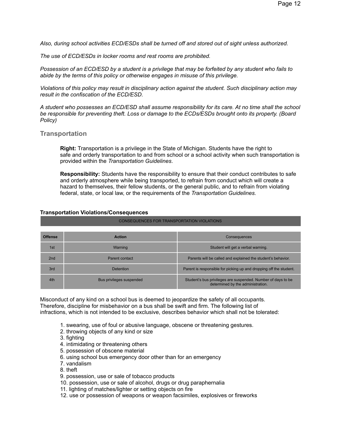*Also, during school activities ECD/ESDs shall be turned off and stored out of sight unless authorized.*

*The use of ECD/ESDs in locker rooms and rest rooms are prohibited.*

Possession of an ECD/ESD by a student is a privilege that may be forfeited by any student who fails to *abide by the terms of this policy or otherwise engages in misuse of this privilege.*

*Violations of this policy may result in disciplinary action against the student. Such disciplinary action may result in the confiscation of the ECD/ESD.*

A student who possesses an ECD/ESD shall assume responsibility for its care. At no time shall the school *be responsible for preventing theft. Loss or damage to the ECDs/ESDs brought onto its property. (Board Policy)*

## **Transportation**

**Right:** Transportation is a privilege in the State of Michigan. Students have the right to safe and orderly transportation to and from school or a school activity when such transportation is provided within the *Transportation Guidelines*.

**Responsibility:** Students have the responsibility to ensure that their conduct contributes to safe and orderly atmosphere while being transported, to refrain from conduct which will create a hazard to themselves, their fellow students, or the general public, and to refrain from violating federal, state, or local law, or the requirements of the *Transportation Guidelines.*

#### **Transportation Violations/Consequences**

| <b>Offense</b> | <b>Action</b>            | Consequences                                                                                      |
|----------------|--------------------------|---------------------------------------------------------------------------------------------------|
| 1st            | Warning                  | Student will get a verbal warning.                                                                |
| 2nd            | Parent contact           | Parents will be called and explained the student's behavior.                                      |
| 3rd            | Detention                | Parent is responsible for picking up and dropping off the student.                                |
| 4th            | Bus privileges suspended | Student's bus privileges are suspended. Number of days to be<br>determined by the administration. |

CONSEQUENCES FOR TRANSPORTATION VIOLATIONS

Misconduct of any kind on a school bus is deemed to jeopardize the safety of all occupants. Therefore, discipline for misbehavior on a bus shall be swift and firm. The following list of infractions, which is not intended to be exclusive, describes behavior which shall not be tolerated:

- 1. swearing, use of foul or abusive language, obscene or threatening gestures.
- 2. throwing objects of any kind or size
- 3. fighting
- 4. intimidating or threatening others
- 5. possession of obscene material
- 6. using school bus emergency door other than for an emergency
- 7. vandalism
- 8. theft
- 9. possession, use or sale of tobacco products
- 10. possession, use or sale of alcohol, drugs or drug paraphernalia
- 11. lighting of matches/lighter or setting objects on fire
- 12. use or possession of weapons or weapon facsimiles, explosives or fireworks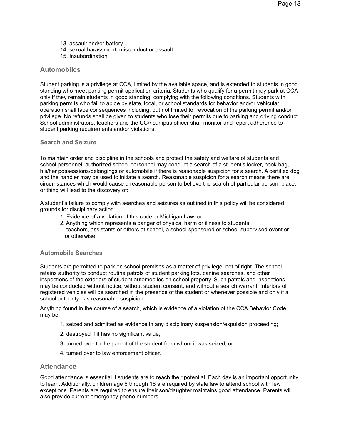- 13. assault and/or battery
- 14. sexual harassment, misconduct or assault
- 15. Insubordination

## **Automobiles**

Student parking is a privilege at CCA, limited by the available space, and is extended to students in good standing who meet parking permit application criteria. Students who qualify for a permit may park at CCA only if they remain students in good standing, complying with the following conditions. Students with parking permits who fail to abide by state, local, or school standards for behavior and/or vehicular operation shall face consequences including, but not limited to, revocation of the parking permit and/or privilege. No refunds shall be given to students who lose their permits due to parking and driving conduct. School administrators, teachers and the CCA campus officer shall monitor and report adherence to student parking requirements and/or violations.

#### **Search and Seizure**

To maintain order and discipline in the schools and protect the safety and welfare of students and school personnel, authorized school personnel may conduct a search of a student's locker, book bag, his/her possessions/belongings or automobile if there is reasonable suspicion for a search. A certified dog and the handler may be used to initiate a search. Reasonable suspicion for a search means there are circumstances which would cause a reasonable person to believe the search of particular person, place, or thing will lead to the discovery of:

A student's failure to comply with searches and seizures as outlined in this policy will be considered grounds for disciplinary action.

- 1. Evidence of a violation of this code or Michigan Law; or
- 2. Anything which represents a danger of physical harm or illness to students, teachers, assistants or others at school, a school-sponsored or school-supervised event or or otherwise.

#### **Automobile Searches**

Students are permitted to park on school premises as a matter of privilege, not of right. The school retains authority to conduct routine patrols of student parking lots, canine searches, and other inspections of the exteriors of student automobiles on school property. Such patrols and inspections may be conducted without notice, without student consent, and without a search warrant. Interiors of registered vehicles will be searched in the presence of the student or whenever possible and only if a school authority has reasonable suspicion.

Anything found in the course of a search, which is evidence of a violation of the CCA Behavior Code, may be:

- 1. seized and admitted as evidence in any disciplinary suspension/expulsion proceeding;
- 2. destroyed if it has no significant value;
- 3. turned over to the parent of the student from whom it was seized; or
- 4. turned over to law enforcement officer.

#### **Attendance**

Good attendance is essential if students are to reach their potential. Each day is an important opportunity to learn. Additionally, children age 6 through 16 are required by state law to attend school with few exceptions. Parents are required to ensure their son/daughter maintains good attendance. Parents will also provide current emergency phone numbers.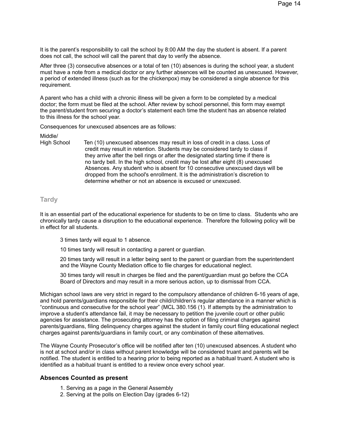It is the parent's responsibility to call the school by 8:00 AM the day the student is absent. If a parent does not call, the school will call the parent that day to verify the absence.

After three (3) consecutive absences or a total of ten (10) absences is during the school year, a student must have a note from a medical doctor or any further absences will be counted as unexcused. However, a period of extended illness (such as for the chickenpox) may be considered a single absence for this requirement.

A parent who has a child with a chronic illness will be given a form to be completed by a medical doctor; the form must be filed at the school. After review by school personnel, this form may exempt the parent/student from securing a doctor's statement each time the student has an absence related to this illness for the school year.

Consequences for unexcused absences are as follows:

Middle/

High School Ten (10) unexcused absences may result in loss of credit in a class. Loss of credit may result in retention. Students may be considered tardy to class if they arrive after the bell rings or after the designated starting time if there is no tardy bell. In the high school, credit may be lost after eight (8) unexcused Absences. Any student who is absent for 10 consecutive unexcused days will be dropped from the school's enrollment. It is the administration's discretion to determine whether or not an absence is excused or unexcused.

## **Tardy**

It is an essential part of the educational experience for students to be on time to class. Students who are chronically tardy cause a disruption to the educational experience. Therefore the following policy will be in effect for all students.

3 times tardy will equal to 1 absence.

10 times tardy will result in contacting a parent or guardian.

20 times tardy will result in a letter being sent to the parent or guardian from the superintendent and the Wayne County Mediation office to file charges for educational neglect.

30 times tardy will result in charges be filed and the parent/guardian must go before the CCA Board of Directors and may result in a more serious action, up to dismissal from CCA.

Michigan school laws are very strict in regard to the compulsory attendance of children 6-16 years of age, and hold parents/guardians responsible for their child/children's regular attendance in a manner which is "continuous and consecutive for the school year" (MCL 380.156 (1). If attempts by the administration to improve a student's attendance fail, it may be necessary to petition the juvenile court or other public agencies for assistance. The prosecuting attorney has the option of filing criminal charges against parents/guardians, filing delinquency charges against the student in family court filing educational neglect charges against parents/guardians in family court, or any combination of these alternatives.

The Wayne County Prosecutor's office will be notified after ten (10) unexcused absences. A student who is not at school and/or in class without parent knowledge will be considered truant and parents will be notified. The student is entitled to a hearing prior to being reported as a habitual truant. A student who is identified as a habitual truant is entitled to a review once every school year.

#### **Absences Counted as present**

- 1. Serving as a page in the General Assembly
- 2. Serving at the polls on Election Day (grades 6-12)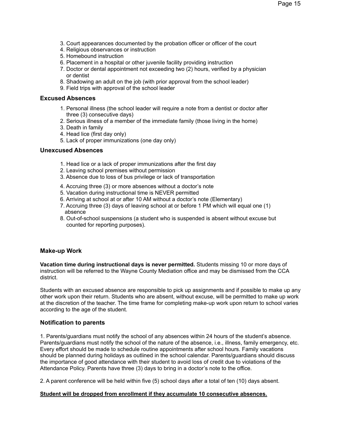- 3. Court appearances documented by the probation officer or officer of the court
- 4. Religious observances or instruction
- 5. Homebound instruction
- 6. Placement in a hospital or other juvenile facility providing instruction
- 7. Doctor or dental appointment not exceeding two (2) hours, verified by a physician or dentist
- 8. Shadowing an adult on the job (with prior approval from the school leader)
- 9. Field trips with approval of the school leader

## **Excused Absences**

- 1. Personal illness (the school leader will require a note from a dentist or doctor after three (3) consecutive days)
- 2. Serious illness of a member of the immediate family (those living in the home)
- 3. Death in family
- 4. Head lice (first day only)
- 5. Lack of proper immunizations (one day only)

## **Unexcused Absences**

- 1. Head lice or a lack of proper immunizations after the first day
- 2. Leaving school premises without permission
- 3. Absence due to loss of bus privilege or lack of transportation
- 4. Accruing three (3) or more absences without a doctor's note
- 5. Vacation during instructional time is NEVER permitted
- 6. Arriving at school at or after 10 AM without a doctor's note (Elementary)
- 7. Accruing three (3) days of leaving school at or before 1 PM which will equal one (1) absence
- 8. Out-of-school suspensions (a student who is suspended is absent without excuse but counted for reporting purposes).

## **Make-up Work**

**Vacation time during instructional days is never permitted.** Students missing 10 or more days of instruction will be referred to the Wayne County Mediation office and may be dismissed from the CCA district.

Students with an excused absence are responsible to pick up assignments and if possible to make up any other work upon their return. Students who are absent, without excuse, will be permitted to make up work at the discretion of the teacher. The time frame for completing make-up work upon return to school varies according to the age of the student.

## **Notification to parents**

1. Parents/guardians must notify the school of any absences within 24 hours of the student's absence. Parents/guardians must notify the school of the nature of the absence, i.e., illness, family emergency, etc. Every effort should be made to schedule routine appointments after school hours. Family vacations should be planned during holidays as outlined in the school calendar. Parents/guardians should discuss the importance of good attendance with their student to avoid loss of credit due to violations of the Attendance Policy. Parents have three (3) days to bring in a doctor's note to the office.

2. A parent conference will be held within five (5) school days after a total of ten (10) days absent.

#### **Student will be dropped from enrollment if they accumulate 10 consecutive absences.**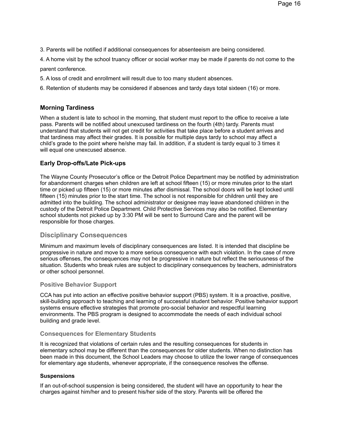3. Parents will be notified if additional consequences for absenteeism are being considered.

4. A home visit by the school truancy officer or social worker may be made if parents do not come to the parent conference.

5. A loss of credit and enrollment will result due to too many student absences.

6. Retention of students may be considered if absences and tardy days total sixteen (16) or more.

# **Morning Tardiness**

When a student is late to school in the morning, that student must report to the office to receive a late pass. Parents will be notified about unexcused tardiness on the fourth (4th) tardy. Parents must understand that students will not get credit for activities that take place before a student arrives and that tardiness may affect their grades. It is possible for multiple days tardy to school may affect a child's grade to the point where he/she may fail. In addition, if a student is tardy equal to 3 times it will equal one unexcused absence.

# **Early Drop-offs/Late Pick-ups**

The Wayne County Prosecutor's office or the Detroit Police Department may be notified by administration for abandonment charges when children are left at school fifteen (15) or more minutes prior to the start time or picked up fifteen (15) or more minutes after dismissal. The school doors will be kept locked until fifteen (15) minutes prior to the start time. The school is not responsible for children until they are admitted into the building. The school administrator or designee may leave abandoned children in the custody of the Detroit Police Department. Child Protective Services may also be notified. Elementary school students not picked up by 3:30 PM will be sent to Surround Care and the parent will be responsible for those charges.

# **Disciplinary Consequences**

Minimum and maximum levels of disciplinary consequences are listed. It is intended that discipline be progressive in nature and move to a more serious consequence with each violation. In the case of more serious offenses, the consequences may not be progressive in nature but reflect the seriousness of the situation. Students who break rules are subject to disciplinary consequences by teachers, administrators or other school personnel.

## **Positive Behavior Support**

CCA has put into action an effective positive behavior support (PBS) system. It is a proactive, positive, skill-building approach to teaching and learning of successful student behavior. Positive behavior support systems ensure effective strategies that promote pro-social behavior and respectful learning environments. The PBS program is designed to accommodate the needs of each individual school building and grade level.

#### **Consequences for Elementary Students**

It is recognized that violations of certain rules and the resulting consequences for students in elementary school may be different than the consequences for older students. When no distinction has been made in this document, the School Leaders may choose to utilize the lower range of consequences for elementary age students, whenever appropriate, if the consequence resolves the offense.

#### **Suspensions**

If an out-of-school suspension is being considered, the student will have an opportunity to hear the charges against him/her and to present his/her side of the story. Parents will be offered the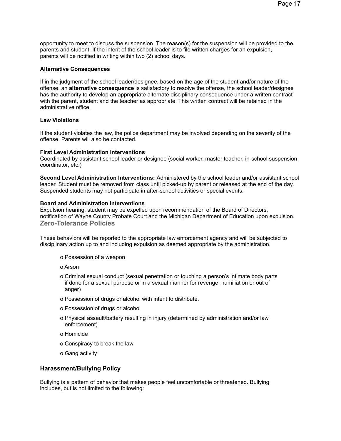opportunity to meet to discuss the suspension. The reason(s) for the suspension will be provided to the parents and student. If the intent of the school leader is to file written charges for an expulsion, parents will be notified in writing within two (2) school days.

#### **Alternative Consequences**

If in the judgment of the school leader/designee, based on the age of the student and/or nature of the offense, an **alternative consequence** is satisfactory to resolve the offense, the school leader/designee has the authority to develop an appropriate alternate disciplinary consequence under a written contract with the parent, student and the teacher as appropriate. This written contract will be retained in the administrative office.

### **Law Violations**

If the student violates the law, the police department may be involved depending on the severity of the offense. Parents will also be contacted.

#### **First Level Administration Interventions**

Coordinated by assistant school leader or designee (social worker, master teacher, in-school suspension coordinator, etc.)

**Second Level Administration Interventions:** Administered by the school leader and/or assistant school leader. Student must be removed from class until picked-up by parent or released at the end of the day. Suspended students may not participate in after-school activities or special events.

#### **Board and Administration Interventions**

Expulsion hearing; student may be expelled upon recommendation of the Board of Directors; notification of Wayne County Probate Court and the Michigan Department of Education upon expulsion. **Zero-Tolerance Policies**

These behaviors will be reported to the appropriate law enforcement agency and will be subjected to disciplinary action up to and including expulsion as deemed appropriate by the administration.

- o Possession of a weapon
- o Arson
- o Criminal sexual conduct (sexual penetration or touching a person's intimate body parts if done for a sexual purpose or in a sexual manner for revenge, humiliation or out of anger)
- o Possession of drugs or alcohol with intent to distribute.
- o Possession of drugs or alcohol
- o Physical assault/battery resulting in injury (determined by administration and/or law enforcement)
- o Homicide
- o Conspiracy to break the law
- o Gang activity

#### **Harassment/Bullying Policy**

Bullying is a pattern of behavior that makes people feel uncomfortable or threatened. Bullying includes, but is not limited to the following: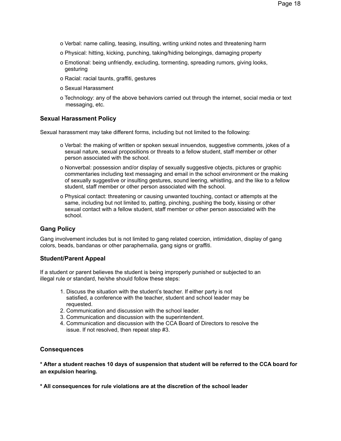- o Verbal: name calling, teasing, insulting, writing unkind notes and threatening harm
- o Physical: hitting, kicking, punching, taking/hiding belongings, damaging property
- o Emotional: being unfriendly, excluding, tormenting, spreading rumors, giving looks, gesturing
- o Racial: racial taunts, graffiti, gestures
- o Sexual Harassment
- o Technology: any of the above behaviors carried out through the internet, social media or text messaging, etc.

## **Sexual Harassment Policy**

Sexual harassment may take different forms, including but not limited to the following:

- o Verbal: the making of written or spoken sexual innuendos, suggestive comments, jokes of a sexual nature, sexual propositions or threats to a fellow student, staff member or other person associated with the school.
- o Nonverbal: possession and/or display of sexually suggestive objects, pictures or graphic commentaries including text messaging and email in the school environment or the making of sexually suggestive or insulting gestures, sound leering, whistling, and the like to a fellow student, staff member or other person associated with the school.
- o Physical contact: threatening or causing unwanted touching, contact or attempts at the same, including but not limited to, patting, pinching, pushing the body, kissing or other sexual contact with a fellow student, staff member or other person associated with the school.

## **Gang Policy**

Gang involvement includes but is not limited to gang related coercion, intimidation, display of gang colors, beads, bandanas or other paraphernalia, gang signs or graffiti.

#### **Student/Parent Appeal**

If a student or parent believes the student is being improperly punished or subjected to an illegal rule or standard, he/she should follow these steps:

- 1. Discuss the situation with the student's teacher. If either party is not satisfied, a conference with the teacher, student and school leader may be requested.
- 2. Communication and discussion with the school leader.
- 3. Communication and discussion with the superintendent.
- 4. Communication and discussion with the CCA Board of Directors to resolve the issue. If not resolved, then repeat step #3.

#### **Consequences**

\* After a student reaches 10 days of suspension that student will be referred to the CCA board for **an expulsion hearing.**

**\* All consequences for rule violations are at the discretion of the school leader**